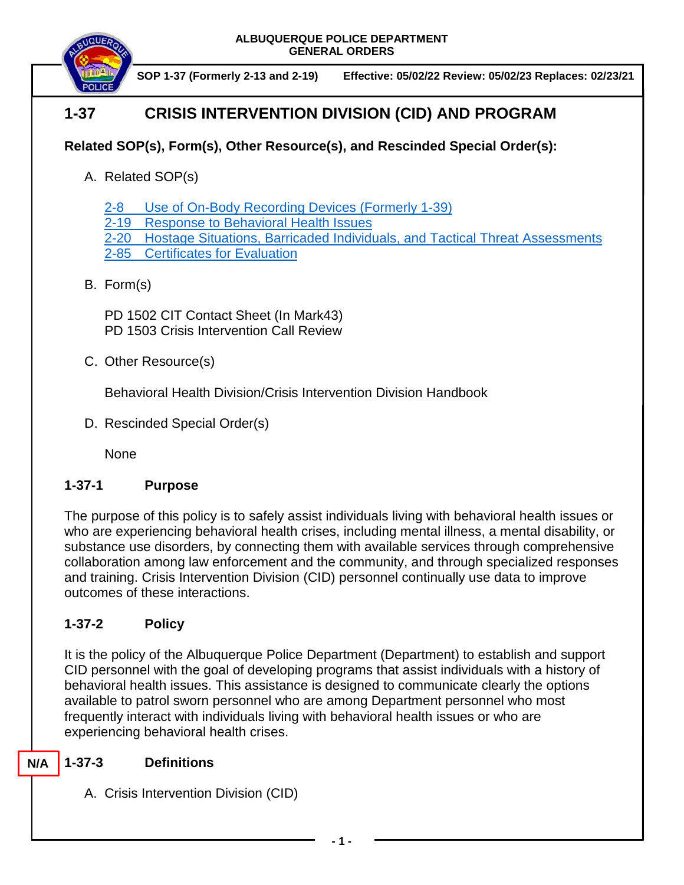

**SOP 1-37 (Formerly 2-13 and 2-19) Effective: 05/02/22 Review: 05/02/23 Replaces: 02/23/21**

# **1-37 CRISIS INTERVENTION DIVISION (CID) AND PROGRAM**

## **Related SOP(s), Form(s), Other Resource(s), and Rescinded Special Order(s):**

A. Related SOP(s)

2-8 [Use of On-Body Recording Devices](https://powerdms.com/docs/1137) (Formerly 1-39)

[2-19 Response to Behavioral Health Issues](https://powerdms.com/docs/1192186)

[2-20 Hostage Situations, Barricaded Individuals, and Tactical Threat Assessments](https://powerdms.com/docs/125)

2-85 [Certificates for Evaluation](https://powerdms.com/docs/2452940?q=2-85)

## B. Form(s)

PD 1502 CIT Contact Sheet (In Mark43) PD 1503 Crisis Intervention Call Review

C. Other Resource(s)

Behavioral Health Division/Crisis Intervention Division Handbook

D. Rescinded Special Order(s)

None

## **1-37-1 Purpose**

The purpose of this policy is to safely assist individuals living with behavioral health issues or who are experiencing behavioral health crises, including mental illness, a mental disability, or substance use disorders, by connecting them with available services through comprehensive collaboration among law enforcement and the community, and through specialized responses and training. Crisis Intervention Division (CID) personnel continually use data to improve outcomes of these interactions.

## **1-37-2 Policy**

It is the policy of the Albuquerque Police Department (Department) to establish and support CID personnel with the goal of developing programs that assist individuals with a history of behavioral health issues. This assistance is designed to communicate clearly the options available to patrol sworn personnel who are among Department personnel who most frequently interact with individuals living with behavioral health issues or who are experiencing behavioral health crises.

#### **1-37-3 Definitions N/A**

A. Crisis Intervention Division (CID)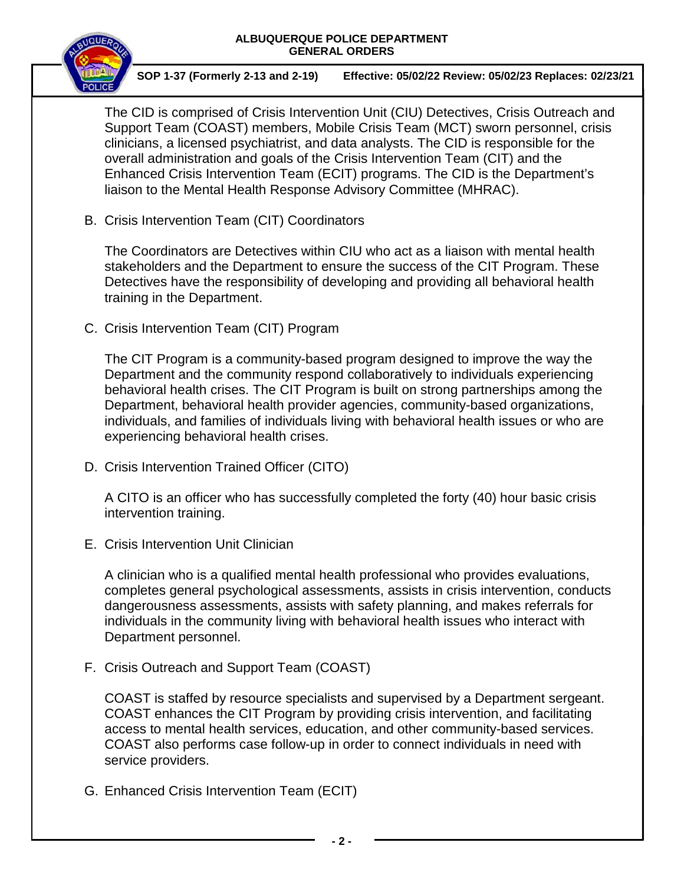

**SOP 1-37 (Formerly 2-13 and 2-19) Effective: 05/02/22 Review: 05/02/23 Replaces: 02/23/21**

The CID is comprised of Crisis Intervention Unit (CIU) Detectives, Crisis Outreach and Support Team (COAST) members, Mobile Crisis Team (MCT) sworn personnel, crisis clinicians, a licensed psychiatrist, and data analysts. The CID is responsible for the overall administration and goals of the Crisis Intervention Team (CIT) and the Enhanced Crisis Intervention Team (ECIT) programs. The CID is the Department's liaison to the Mental Health Response Advisory Committee (MHRAC).

B. Crisis Intervention Team (CIT) Coordinators

The Coordinators are Detectives within CIU who act as a liaison with mental health stakeholders and the Department to ensure the success of the CIT Program. These Detectives have the responsibility of developing and providing all behavioral health training in the Department.

C. Crisis Intervention Team (CIT) Program

The CIT Program is a community-based program designed to improve the way the Department and the community respond collaboratively to individuals experiencing behavioral health crises. The CIT Program is built on strong partnerships among the Department, behavioral health provider agencies, community-based organizations, individuals, and families of individuals living with behavioral health issues or who are experiencing behavioral health crises.

D. Crisis Intervention Trained Officer (CITO)

A CITO is an officer who has successfully completed the forty (40) hour basic crisis intervention training.

E. Crisis Intervention Unit Clinician

A clinician who is a qualified mental health professional who provides evaluations, completes general psychological assessments, assists in crisis intervention, conducts dangerousness assessments, assists with safety planning, and makes referrals for individuals in the community living with behavioral health issues who interact with Department personnel.

F. Crisis Outreach and Support Team (COAST)

COAST is staffed by resource specialists and supervised by a Department sergeant. COAST enhances the CIT Program by providing crisis intervention, and facilitating access to mental health services, education, and other community-based services. COAST also performs case follow-up in order to connect individuals in need with service providers.

G. Enhanced Crisis Intervention Team (ECIT)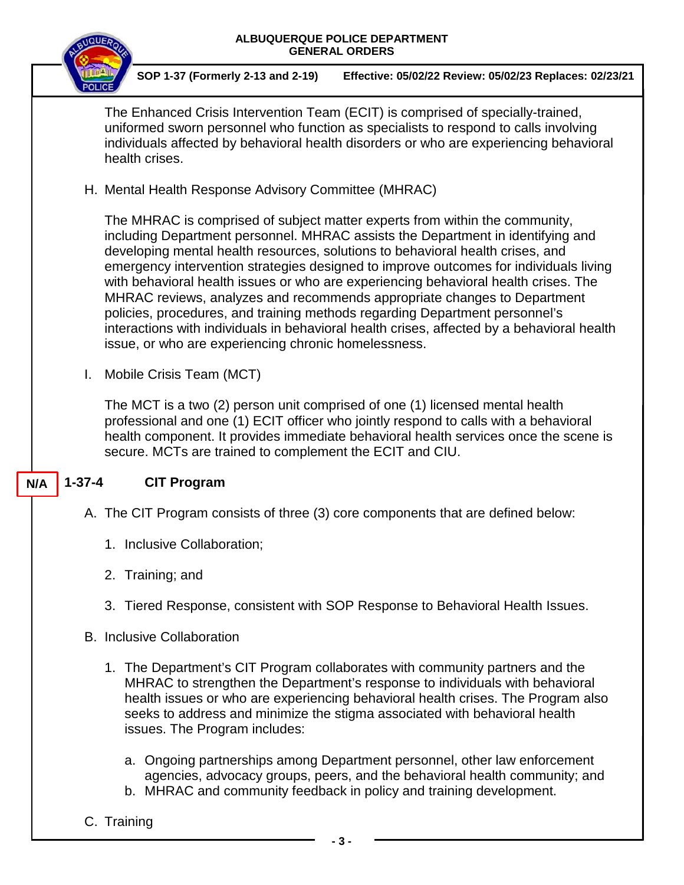

- b. MHRAC and community feedback in policy and training development.
- C. Training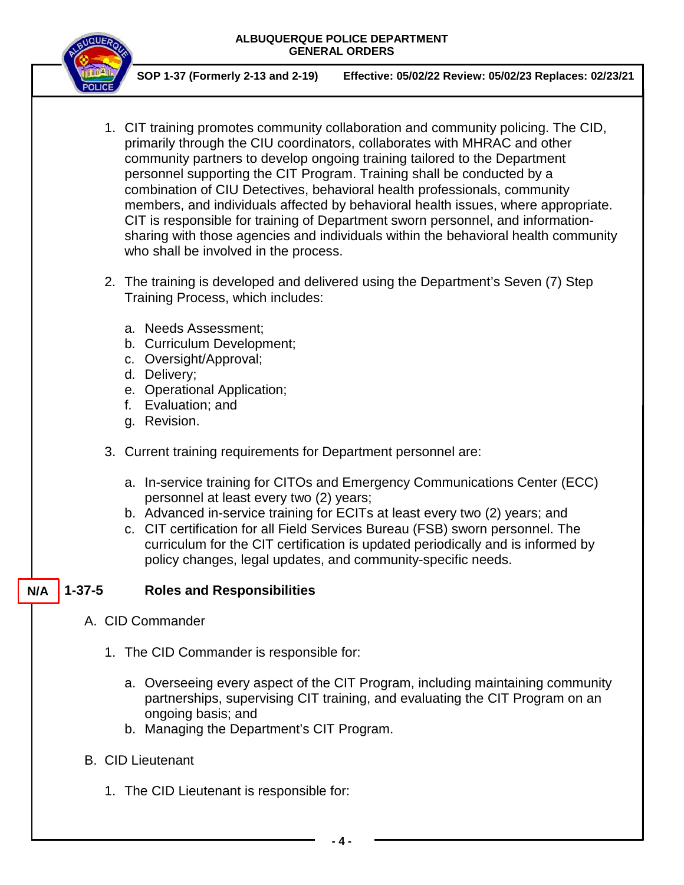

**SOP 1-37 (Formerly 2-13 and 2-19) Effective: 05/02/22 Review: 05/02/23 Replaces: 02/23/21**

- 1. CIT training promotes community collaboration and community policing. The CID, primarily through the CIU coordinators, collaborates with MHRAC and other community partners to develop ongoing training tailored to the Department personnel supporting the CIT Program. Training shall be conducted by a combination of CIU Detectives, behavioral health professionals, community members, and individuals affected by behavioral health issues, where appropriate. CIT is responsible for training of Department sworn personnel, and informationsharing with those agencies and individuals within the behavioral health community who shall be involved in the process.
- 2. The training is developed and delivered using the Department's Seven (7) Step Training Process, which includes:
	- a. Needs Assessment;
	- b. Curriculum Development;
	- c. Oversight/Approval;
	- d. Delivery;
	- e. Operational Application;
	- f. Evaluation; and
	- g. Revision.
- 3. Current training requirements for Department personnel are:
	- a. In-service training for CITOs and Emergency Communications Center (ECC) personnel at least every two (2) years;
	- b. Advanced in-service training for ECITs at least every two (2) years; and
	- c. CIT certification for all Field Services Bureau (FSB) sworn personnel. The curriculum for the CIT certification is updated periodically and is informed by policy changes, legal updates, and community-specific needs.

#### **1-37-5 Roles and Responsibilities N/A**

- A. CID Commander
	- 1. The CID Commander is responsible for:
		- a. Overseeing every aspect of the CIT Program, including maintaining community partnerships, supervising CIT training, and evaluating the CIT Program on an ongoing basis; and
		- b. Managing the Department's CIT Program.
- B. CID Lieutenant
	- 1. The CID Lieutenant is responsible for: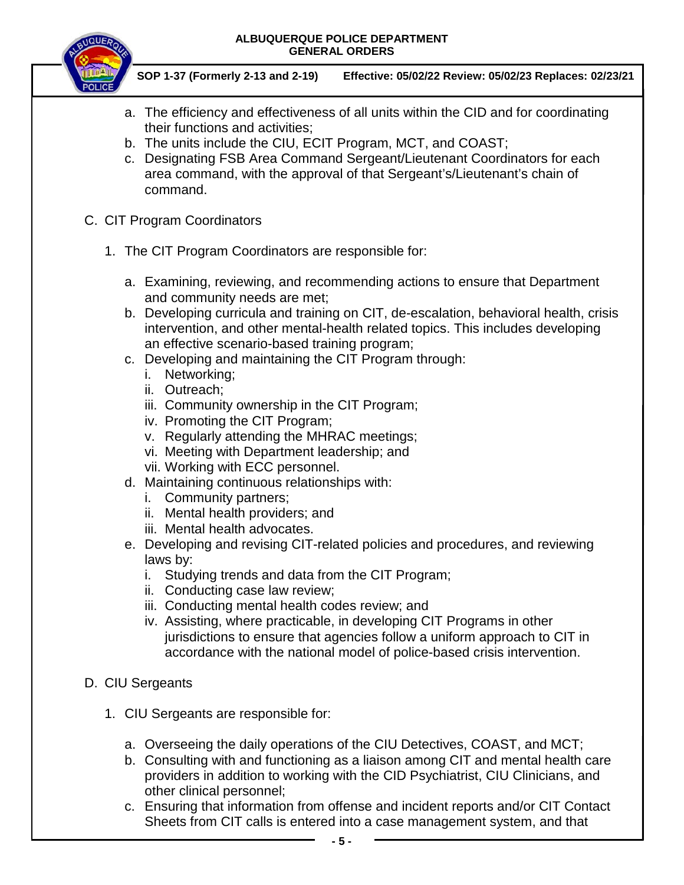

**SOP 1-37 (Formerly 2-13 and 2-19) Effective: 05/02/22 Review: 05/02/23 Replaces: 02/23/21**

- a. The efficiency and effectiveness of all units within the CID and for coordinating their functions and activities;
- b. The units include the CIU, ECIT Program, MCT, and COAST;
- c. Designating FSB Area Command Sergeant/Lieutenant Coordinators for each area command, with the approval of that Sergeant's/Lieutenant's chain of command.
- C. CIT Program Coordinators
	- 1. The CIT Program Coordinators are responsible for:
		- a. Examining, reviewing, and recommending actions to ensure that Department and community needs are met;
		- b. Developing curricula and training on CIT, de-escalation, behavioral health, crisis intervention, and other mental-health related topics. This includes developing an effective scenario-based training program;
		- c. Developing and maintaining the CIT Program through:
			- i. Networking;
			- ii. Outreach;
			- iii. Community ownership in the CIT Program;
			- iv. Promoting the CIT Program;
			- v. Regularly attending the MHRAC meetings;
			- vi. Meeting with Department leadership; and
			- vii. Working with ECC personnel.
		- d. Maintaining continuous relationships with:
			- i. Community partners;
			- ii. Mental health providers; and
			- iii. Mental health advocates.
		- e. Developing and revising CIT-related policies and procedures, and reviewing laws by:
			- i. Studying trends and data from the CIT Program;
			- ii. Conducting case law review;
			- iii. Conducting mental health codes review; and
			- iv. Assisting, where practicable, in developing CIT Programs in other jurisdictions to ensure that agencies follow a uniform approach to CIT in accordance with the national model of police-based crisis intervention.
- D. CIU Sergeants
	- 1. CIU Sergeants are responsible for:
		- a. Overseeing the daily operations of the CIU Detectives, COAST, and MCT;
		- b. Consulting with and functioning as a liaison among CIT and mental health care providers in addition to working with the CID Psychiatrist, CIU Clinicians, and other clinical personnel;
		- c. Ensuring that information from offense and incident reports and/or CIT Contact Sheets from CIT calls is entered into a case management system, and that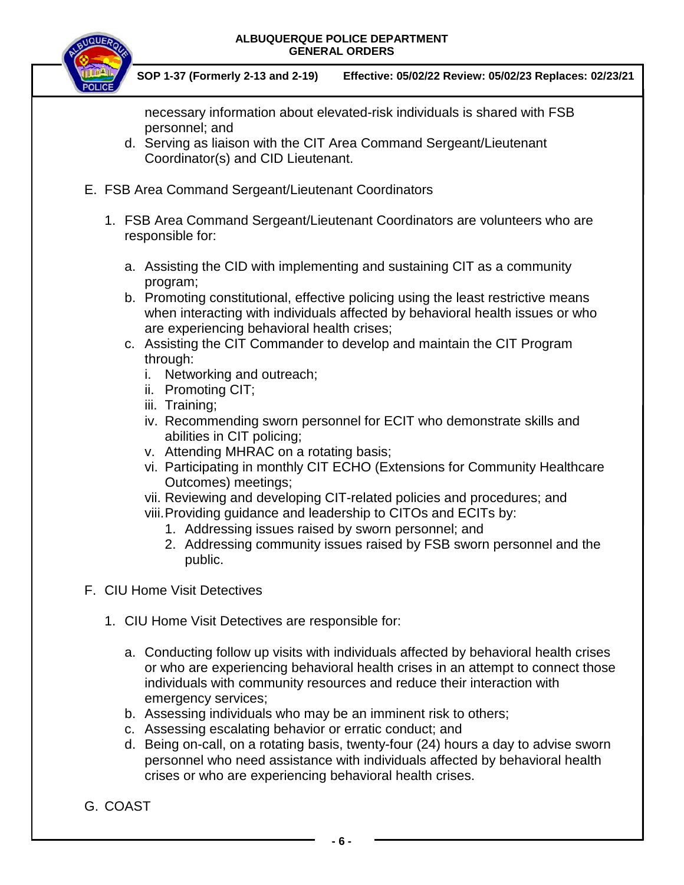

**SOP 1-37 (Formerly 2-13 and 2-19) Effective: 05/02/22 Review: 05/02/23 Replaces: 02/23/21**

necessary information about elevated-risk individuals is shared with FSB personnel; and

- d. Serving as liaison with the CIT Area Command Sergeant/Lieutenant Coordinator(s) and CID Lieutenant.
- E. FSB Area Command Sergeant/Lieutenant Coordinators
	- 1. FSB Area Command Sergeant/Lieutenant Coordinators are volunteers who are responsible for:
		- a. Assisting the CID with implementing and sustaining CIT as a community program;
		- b. Promoting constitutional, effective policing using the least restrictive means when interacting with individuals affected by behavioral health issues or who are experiencing behavioral health crises;
		- c. Assisting the CIT Commander to develop and maintain the CIT Program through:
			- i. Networking and outreach;
			- ii. Promoting CIT;
			- iii. Training;
			- iv. Recommending sworn personnel for ECIT who demonstrate skills and abilities in CIT policing;
			- v. Attending MHRAC on a rotating basis;
			- vi. Participating in monthly CIT ECHO (Extensions for Community Healthcare Outcomes) meetings;
			- vii. Reviewing and developing CIT-related policies and procedures; and
			- viii.Providing guidance and leadership to CITOs and ECITs by:
				- 1. Addressing issues raised by sworn personnel; and
				- 2. Addressing community issues raised by FSB sworn personnel and the public.
- F. CIU Home Visit Detectives
	- 1. CIU Home Visit Detectives are responsible for:
		- a. Conducting follow up visits with individuals affected by behavioral health crises or who are experiencing behavioral health crises in an attempt to connect those individuals with community resources and reduce their interaction with emergency services;
		- b. Assessing individuals who may be an imminent risk to others;
		- c. Assessing escalating behavior or erratic conduct; and
		- d. Being on-call, on a rotating basis, twenty-four (24) hours a day to advise sworn personnel who need assistance with individuals affected by behavioral health crises or who are experiencing behavioral health crises.
- G. COAST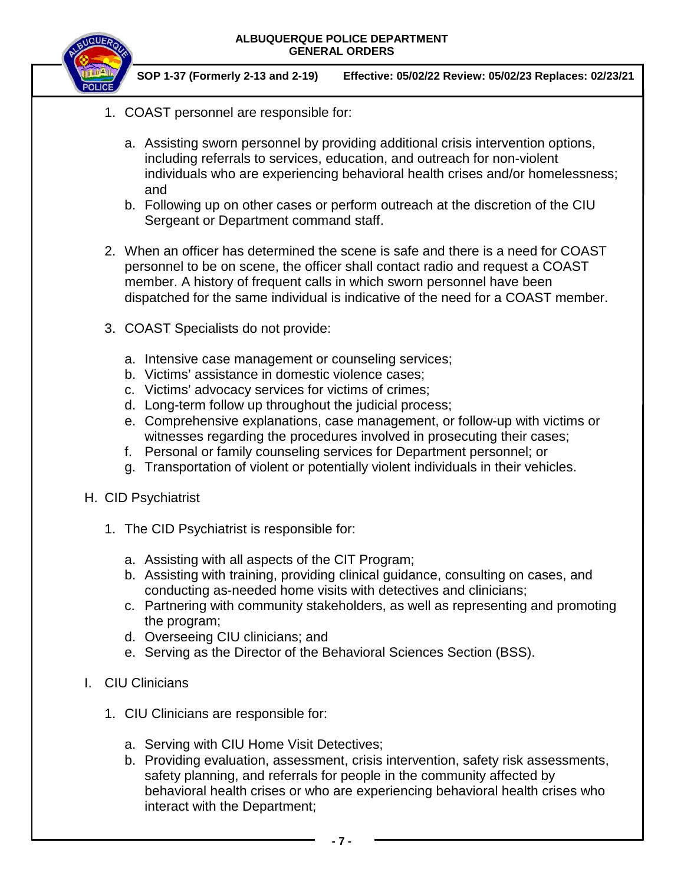

- 1. COAST personnel are responsible for:
	- a. Assisting sworn personnel by providing additional crisis intervention options, including referrals to services, education, and outreach for non-violent individuals who are experiencing behavioral health crises and/or homelessness; and
	- b. Following up on other cases or perform outreach at the discretion of the CIU Sergeant or Department command staff.
- 2. When an officer has determined the scene is safe and there is a need for COAST personnel to be on scene, the officer shall contact radio and request a COAST member. A history of frequent calls in which sworn personnel have been dispatched for the same individual is indicative of the need for a COAST member.
- 3. COAST Specialists do not provide:
	- a. Intensive case management or counseling services;
	- b. Victims' assistance in domestic violence cases;
	- c. Victims' advocacy services for victims of crimes;
	- d. Long-term follow up throughout the judicial process;
	- e. Comprehensive explanations, case management, or follow-up with victims or witnesses regarding the procedures involved in prosecuting their cases;
	- f. Personal or family counseling services for Department personnel; or
	- g. Transportation of violent or potentially violent individuals in their vehicles.
- H. CID Psychiatrist
	- 1. The CID Psychiatrist is responsible for:
		- a. Assisting with all aspects of the CIT Program;
		- b. Assisting with training, providing clinical guidance, consulting on cases, and conducting as-needed home visits with detectives and clinicians;
		- c. Partnering with community stakeholders, as well as representing and promoting the program;
		- d. Overseeing CIU clinicians; and
		- e. Serving as the Director of the Behavioral Sciences Section (BSS).
- I. CIU Clinicians
	- 1. CIU Clinicians are responsible for:
		- a. Serving with CIU Home Visit Detectives;
		- b. Providing evaluation, assessment, crisis intervention, safety risk assessments, safety planning, and referrals for people in the community affected by behavioral health crises or who are experiencing behavioral health crises who interact with the Department;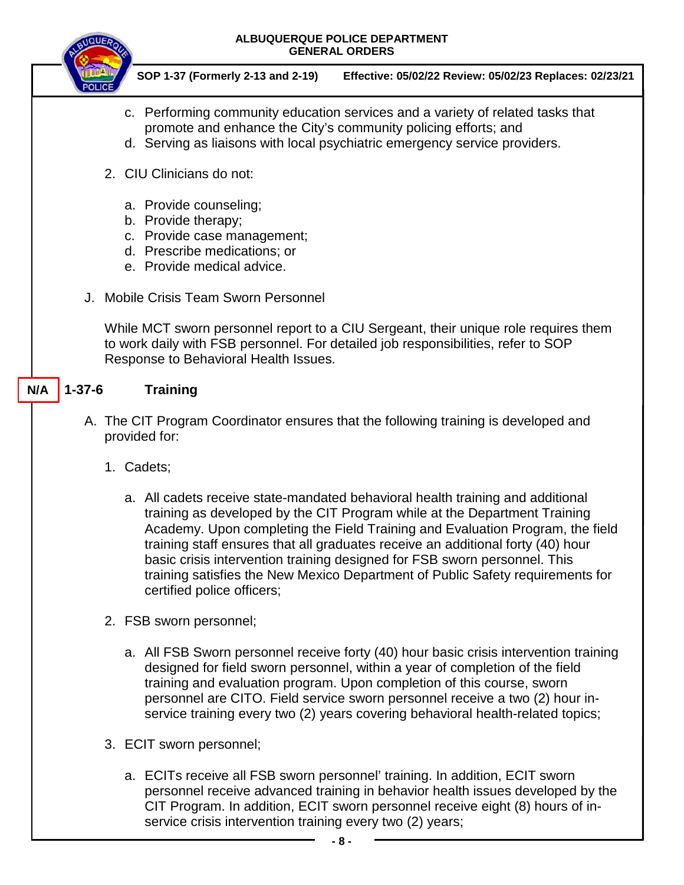

- c. Performing community education services and a variety of related tasks that promote and enhance the City's community policing efforts; and
- d. Serving as liaisons with local psychiatric emergency service providers.
- 2. CIU Clinicians do not:
	- a. Provide counseling;
	- b. Provide therapy;
	- c. Provide case management;
	- d. Prescribe medications; or
	- e. Provide medical advice.
- J. Mobile Crisis Team Sworn Personnel

While MCT sworn personnel report to a CIU Sergeant, their unique role requires them to work daily with FSB personnel. For detailed job responsibilities, refer to SOP Response to Behavioral Health Issues.

#### **1-37-6 Training N/A**

- A. The CIT Program Coordinator ensures that the following training is developed and provided for:
	- 1. Cadets;
		- a. All cadets receive state-mandated behavioral health training and additional training as developed by the CIT Program while at the Department Training Academy. Upon completing the Field Training and Evaluation Program, the field training staff ensures that all graduates receive an additional forty (40) hour basic crisis intervention training designed for FSB sworn personnel. This training satisfies the New Mexico Department of Public Safety requirements for certified police officers;
	- 2. FSB sworn personnel;
		- a. All FSB Sworn personnel receive forty (40) hour basic crisis intervention training designed for field sworn personnel, within a year of completion of the field training and evaluation program. Upon completion of this course, sworn personnel are CITO. Field service sworn personnel receive a two (2) hour inservice training every two (2) years covering behavioral health-related topics;
	- 3. ECIT sworn personnel;
		- a. ECITs receive all FSB sworn personnel' training. In addition, ECIT sworn personnel receive advanced training in behavior health issues developed by the CIT Program. In addition, ECIT sworn personnel receive eight (8) hours of inservice crisis intervention training every two (2) years;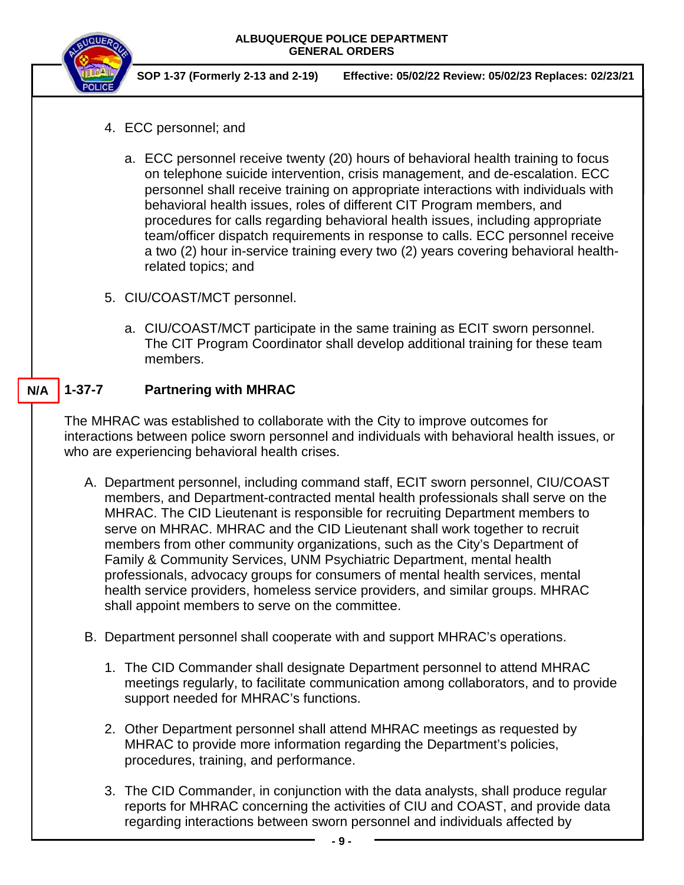

- 4. ECC personnel; and
	- a. ECC personnel receive twenty (20) hours of behavioral health training to focus on telephone suicide intervention, crisis management, and de-escalation. ECC personnel shall receive training on appropriate interactions with individuals with behavioral health issues, roles of different CIT Program members, and procedures for calls regarding behavioral health issues, including appropriate team/officer dispatch requirements in response to calls. ECC personnel receive a two (2) hour in-service training every two (2) years covering behavioral healthrelated topics; and
- 5. CIU/COAST/MCT personnel.
	- a. CIU/COAST/MCT participate in the same training as ECIT sworn personnel. The CIT Program Coordinator shall develop additional training for these team members.

#### **1-37-7 Partnering with MHRAC N/A**

The MHRAC was established to collaborate with the City to improve outcomes for interactions between police sworn personnel and individuals with behavioral health issues, or who are experiencing behavioral health crises.

- A. Department personnel, including command staff, ECIT sworn personnel, CIU/COAST members, and Department-contracted mental health professionals shall serve on the MHRAC. The CID Lieutenant is responsible for recruiting Department members to serve on MHRAC. MHRAC and the CID Lieutenant shall work together to recruit members from other community organizations, such as the City's Department of Family & Community Services, UNM Psychiatric Department, mental health professionals, advocacy groups for consumers of mental health services, mental health service providers, homeless service providers, and similar groups. MHRAC shall appoint members to serve on the committee.
- B. Department personnel shall cooperate with and support MHRAC's operations.
	- 1. The CID Commander shall designate Department personnel to attend MHRAC meetings regularly, to facilitate communication among collaborators, and to provide support needed for MHRAC's functions.
	- 2. Other Department personnel shall attend MHRAC meetings as requested by MHRAC to provide more information regarding the Department's policies, procedures, training, and performance.
	- 3. The CID Commander, in conjunction with the data analysts, shall produce regular reports for MHRAC concerning the activities of CIU and COAST, and provide data regarding interactions between sworn personnel and individuals affected by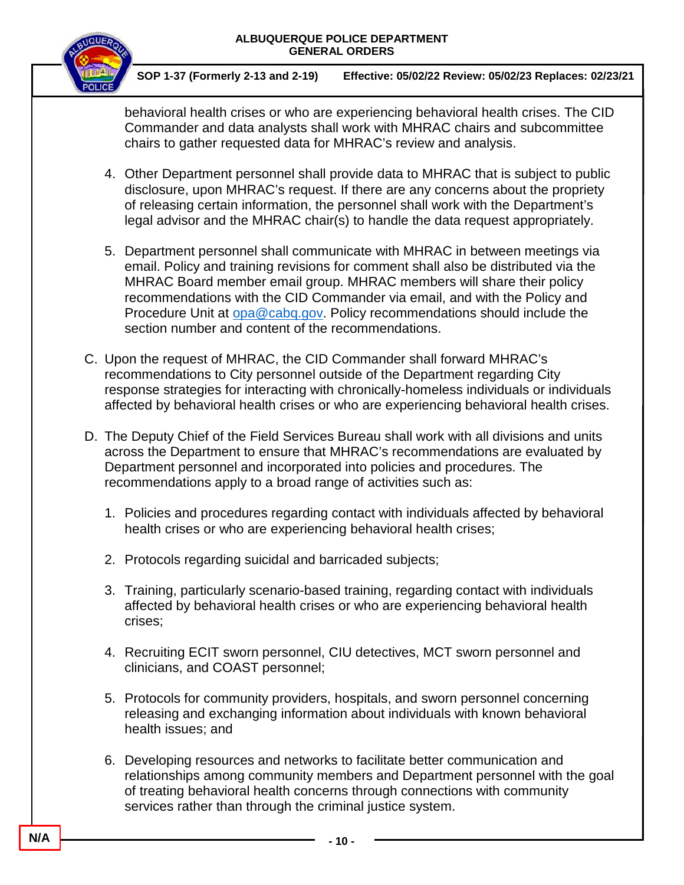

**SOP 1-37 (Formerly 2-13 and 2-19) Effective: 05/02/22 Review: 05/02/23 Replaces: 02/23/21**

behavioral health crises or who are experiencing behavioral health crises. The CID Commander and data analysts shall work with MHRAC chairs and subcommittee chairs to gather requested data for MHRAC's review and analysis.

- 4. Other Department personnel shall provide data to MHRAC that is subject to public disclosure, upon MHRAC's request. If there are any concerns about the propriety of releasing certain information, the personnel shall work with the Department's legal advisor and the MHRAC chair(s) to handle the data request appropriately.
- 5. Department personnel shall communicate with MHRAC in between meetings via email. Policy and training revisions for comment shall also be distributed via the MHRAC Board member email group. MHRAC members will share their policy recommendations with the CID Commander via email, and with the Policy and Procedure Unit at [opa@cabq.gov.](mailto:opa@cabq.gov) Policy recommendations should include the section number and content of the recommendations.
- C. Upon the request of MHRAC, the CID Commander shall forward MHRAC's recommendations to City personnel outside of the Department regarding City response strategies for interacting with chronically-homeless individuals or individuals affected by behavioral health crises or who are experiencing behavioral health crises.
- D. The Deputy Chief of the Field Services Bureau shall work with all divisions and units across the Department to ensure that MHRAC's recommendations are evaluated by Department personnel and incorporated into policies and procedures. The recommendations apply to a broad range of activities such as:
	- 1. Policies and procedures regarding contact with individuals affected by behavioral health crises or who are experiencing behavioral health crises;
	- 2. Protocols regarding suicidal and barricaded subjects;
	- 3. Training, particularly scenario-based training, regarding contact with individuals affected by behavioral health crises or who are experiencing behavioral health crises;
	- 4. Recruiting ECIT sworn personnel, CIU detectives, MCT sworn personnel and clinicians, and COAST personnel;
	- 5. Protocols for community providers, hospitals, and sworn personnel concerning releasing and exchanging information about individuals with known behavioral health issues; and
	- 6. Developing resources and networks to facilitate better communication and relationships among community members and Department personnel with the goal of treating behavioral health concerns through connections with community services rather than through the criminal justice system.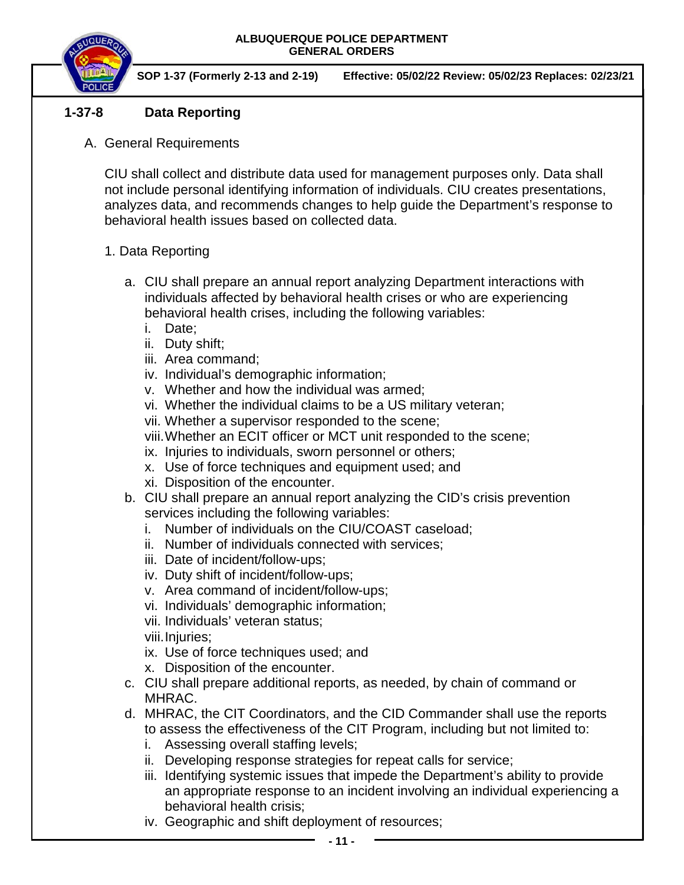

**SOP 1-37 (Formerly 2-13 and 2-19) Effective: 05/02/22 Review: 05/02/23 Replaces: 02/23/21**

## **1-37-8 Data Reporting**

A. General Requirements

CIU shall collect and distribute data used for management purposes only. Data shall not include personal identifying information of individuals. CIU creates presentations, analyzes data, and recommends changes to help guide the Department's response to behavioral health issues based on collected data.

- 1. Data Reporting
	- a. CIU shall prepare an annual report analyzing Department interactions with individuals affected by behavioral health crises or who are experiencing behavioral health crises, including the following variables:
		- i. Date;
		- ii. Duty shift;
		- iii. Area command;
		- iv. Individual's demographic information;
		- v. Whether and how the individual was armed;
		- vi. Whether the individual claims to be a US military veteran;
		- vii. Whether a supervisor responded to the scene;
		- viii.Whether an ECIT officer or MCT unit responded to the scene;
		- ix. Injuries to individuals, sworn personnel or others;
		- x. Use of force techniques and equipment used; and
		- xi. Disposition of the encounter.
	- b. CIU shall prepare an annual report analyzing the CID's crisis prevention services including the following variables:
		- i. Number of individuals on the CIU/COAST caseload;
		- ii. Number of individuals connected with services;
		- iii. Date of incident/follow-ups;
		- iv. Duty shift of incident/follow-ups;
		- v. Area command of incident/follow-ups;
		- vi. Individuals' demographic information;
		- vii. Individuals' veteran status;
		- viii.Injuries;
		- ix. Use of force techniques used; and
		- x. Disposition of the encounter.
	- c. CIU shall prepare additional reports, as needed, by chain of command or MHRAC.
	- d. MHRAC, the CIT Coordinators, and the CID Commander shall use the reports to assess the effectiveness of the CIT Program, including but not limited to:
		- i. Assessing overall staffing levels;
		- ii. Developing response strategies for repeat calls for service;
		- iii. Identifying systemic issues that impede the Department's ability to provide an appropriate response to an incident involving an individual experiencing a behavioral health crisis;
		- iv. Geographic and shift deployment of resources;